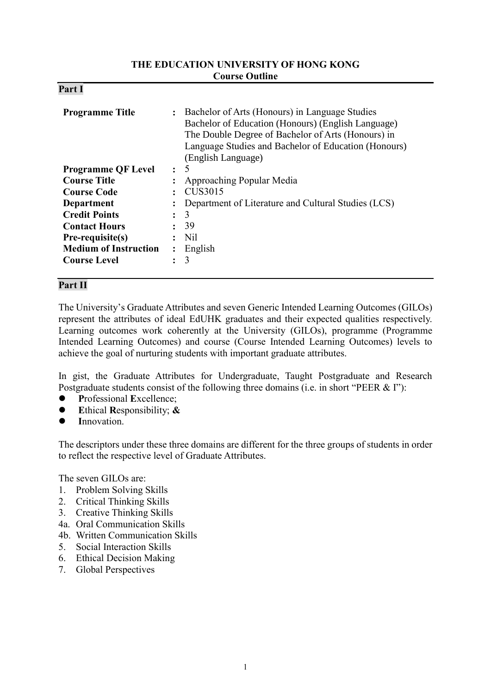#### **THE EDUCATION UNIVERSITY OF HONG KONG Course Outline**

| D.<br>'ar<br>4. |  |
|-----------------|--|
|-----------------|--|

| <b>Programme Title</b>       | Bachelor of Arts (Honours) in Language Studies<br>$\ddot{\phantom{a}}$<br>Bachelor of Education (Honours) (English Language)<br>The Double Degree of Bachelor of Arts (Honours) in<br>Language Studies and Bachelor of Education (Honours)<br>(English Language) |                                                     |
|------------------------------|------------------------------------------------------------------------------------------------------------------------------------------------------------------------------------------------------------------------------------------------------------------|-----------------------------------------------------|
| <b>Programme QF Level</b>    | $\ddot{\cdot}$                                                                                                                                                                                                                                                   | 5                                                   |
| <b>Course Title</b>          |                                                                                                                                                                                                                                                                  | Approaching Popular Media                           |
| <b>Course Code</b>           |                                                                                                                                                                                                                                                                  | CUS3015                                             |
| <b>Department</b>            |                                                                                                                                                                                                                                                                  | Department of Literature and Cultural Studies (LCS) |
| <b>Credit Points</b>         | $\ddot{\cdot}$                                                                                                                                                                                                                                                   | 3                                                   |
| <b>Contact Hours</b>         | $\ddot{\cdot}$                                                                                                                                                                                                                                                   | 39                                                  |
| Pre-requisite(s)             |                                                                                                                                                                                                                                                                  | Nil                                                 |
| <b>Medium of Instruction</b> | $\ddot{\cdot}$                                                                                                                                                                                                                                                   | English                                             |
| <b>Course Level</b>          |                                                                                                                                                                                                                                                                  | 3                                                   |

# **Part II**

The University's Graduate Attributes and seven Generic Intended Learning Outcomes (GILOs) represent the attributes of ideal EdUHK graduates and their expected qualities respectively. Learning outcomes work coherently at the University (GILOs), programme (Programme Intended Learning Outcomes) and course (Course Intended Learning Outcomes) levels to achieve the goal of nurturing students with important graduate attributes.

In gist, the Graduate Attributes for Undergraduate, Taught Postgraduate and Research Postgraduate students consist of the following three domains (i.e. in short "PEER & I"):

- **P**rofessional **E**xcellence;
- **E**thical **R**esponsibility; **&**
- **I**nnovation.

The descriptors under these three domains are different for the three groups of students in order to reflect the respective level of Graduate Attributes.

The seven GILOs are:

- 1. Problem Solving Skills
- 2. Critical Thinking Skills
- 3. Creative Thinking Skills
- 4a. Oral Communication Skills
- 4b. Written Communication Skills
- 5. Social Interaction Skills
- 6. Ethical Decision Making
- 7. Global Perspectives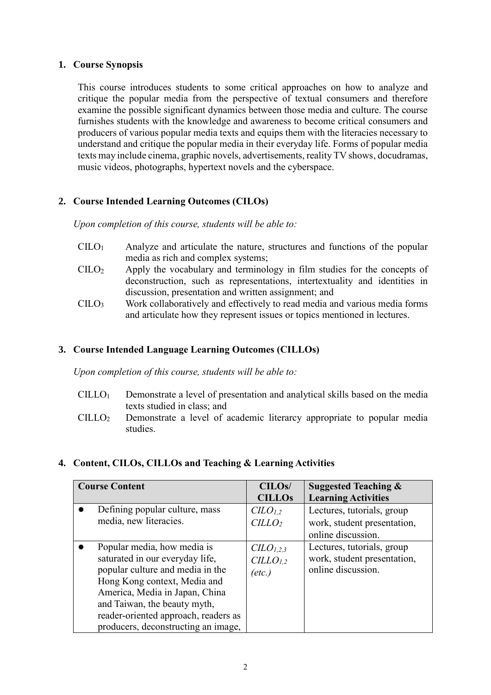## **1. Course Synopsis**

This course introduces students to some critical approaches on how to analyze and critique the popular media from the perspective of textual consumers and therefore examine the possible significant dynamics between those media and culture. The course furnishes students with the knowledge and awareness to become critical consumers and producers of various popular media texts and equips them with the literacies necessary to understand and critique the popular media in their everyday life. Forms of popular media texts may include cinema, graphic novels, advertisements, reality TV shows, docudramas, music videos, photographs, hypertext novels and the cyberspace.

# **2. Course Intended Learning Outcomes (CILOs)**

*Upon completion of this course, students will be able to:*

- $C I L O<sub>1</sub>$  Analyze and articulate the nature, structures and functions of the popular media as rich and complex systems;
- CILO<sup>2</sup> Apply the vocabulary and terminology in film studies for the concepts of deconstruction, such as representations, intertextuality and identities in discussion, presentation and written assignment; and
- CILO<sup>3</sup> Work collaboratively and effectively to read media and various media forms and articulate how they represent issues or topics mentioned in lectures.

# **3. Course Intended Language Learning Outcomes (CILLOs)**

*Upon completion of this course, students will be able to:*

- $CILLO<sub>1</sub>$  Demonstrate a level of presentation and analytical skills based on the media texts studied in class; and
- CILLO<sup>2</sup> Demonstrate a level of academic literarcy appropriate to popular media studies.

# **4. Content, CILOs, CILLOs and Teaching & Learning Activities**

| <b>Course Content</b>                                                                                                                                                                                                                                                               | CILO <sub>s</sub> /<br><b>CILLOS</b>                            | <b>Suggested Teaching &amp;</b><br><b>Learning Activities</b>                   |
|-------------------------------------------------------------------------------------------------------------------------------------------------------------------------------------------------------------------------------------------------------------------------------------|-----------------------------------------------------------------|---------------------------------------------------------------------------------|
| Defining popular culture, mass<br>media, new literacies.                                                                                                                                                                                                                            | C <sub>L</sub> O <sub>L,2</sub><br>CILLO <sub>2</sub>           | Lectures, tutorials, group<br>work, student presentation,<br>online discussion. |
| Popular media, how media is<br>saturated in our everyday life,<br>popular culture and media in the<br>Hong Kong context, Media and<br>America, Media in Japan, China<br>and Taiwan, the beauty myth,<br>reader-oriented approach, readers as<br>producers, deconstructing an image, | CLO <sub>1,2,3</sub><br>CILLO <sub>1,2</sub><br>$(\text{etc.})$ | Lectures, tutorials, group<br>work, student presentation,<br>online discussion. |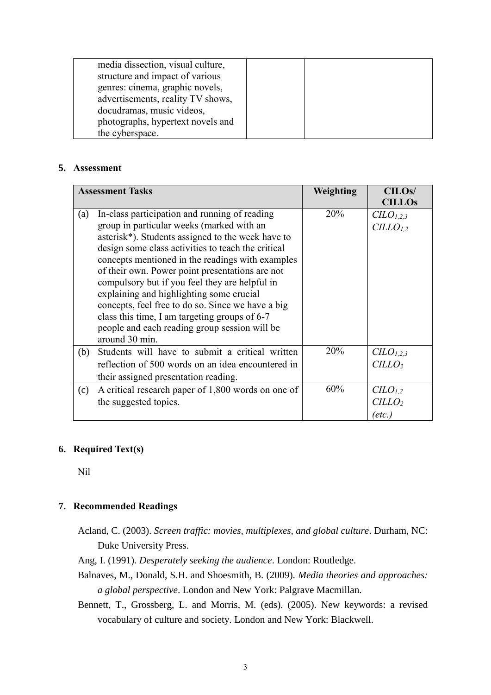| media dissection, visual culture,<br>structure and impact of various |  |
|----------------------------------------------------------------------|--|
| genres: cinema, graphic novels,<br>advertisements, reality TV shows, |  |
| docudramas, music videos,                                            |  |
| photographs, hypertext novels and                                    |  |
| the cyberspace.                                                      |  |

# **5. Assessment**

|     | <b>Assessment Tasks</b>                                                                                                                                                                                                                                                                                                                                                                                                                                                                                                                                           | Weighting | CILO <sub>s</sub> /<br><b>CILLOS</b>                     |
|-----|-------------------------------------------------------------------------------------------------------------------------------------------------------------------------------------------------------------------------------------------------------------------------------------------------------------------------------------------------------------------------------------------------------------------------------------------------------------------------------------------------------------------------------------------------------------------|-----------|----------------------------------------------------------|
| (a) | In-class participation and running of reading<br>group in particular weeks (marked with an<br>asterisk*). Students assigned to the week have to<br>design some class activities to teach the critical<br>concepts mentioned in the readings with examples<br>of their own. Power point presentations are not<br>compulsory but if you feel they are helpful in<br>explaining and highlighting some crucial<br>concepts, feel free to do so. Since we have a big<br>class this time, I am targeting groups of 6-7<br>people and each reading group session will be | 20%       | CLO <sub>1,2,3</sub><br>CILLO <sub>1.2</sub>             |
| (b) | around 30 min.<br>Students will have to submit a critical written<br>reflection of 500 words on an idea encountered in<br>their assigned presentation reading.                                                                                                                                                                                                                                                                                                                                                                                                    | 20%       | $C\ddot{L}O_{1,2,3}$<br>CILLO <sub>2</sub>               |
| (c) | A critical research paper of 1,800 words on one of<br>the suggested topics.                                                                                                                                                                                                                                                                                                                                                                                                                                                                                       | 60%       | CLO <sub>1,2</sub><br><i>CILLO</i> <sub>2</sub><br>etc., |

# **6. Required Text(s)**

Nil

# **7. Recommended Readings**

- Acland, C. (2003). *Screen traffic: movies, multiplexes, and global culture*. Durham, NC: Duke University Press.
- Ang, I. (1991). *Desperately seeking the audience*. London: Routledge.
- Balnaves, M., Donald, S.H. and Shoesmith, B. (2009). *Media theories and approaches: a global perspective*. London and New York: Palgrave Macmillan.
- Bennett, T., Grossberg, L. and Morris, M. (eds). (2005). New keywords: a revised vocabulary of culture and society. London and New York: Blackwell.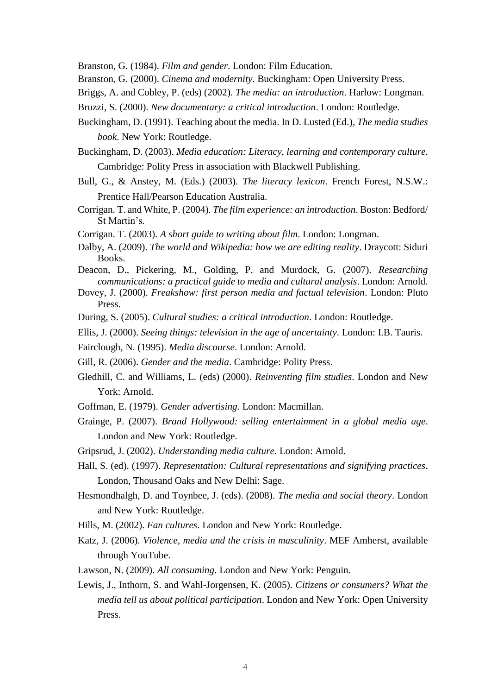Branston, G. (1984). *Film and gender*. London: Film Education.

- Branston, G. (2000). *Cinema and modernity*. Buckingham: Open University Press.
- Briggs, A. and Cobley, P. (eds) (2002). *The media: an introduction*. Harlow: Longman.
- Bruzzi, S. (2000). *New documentary: a critical introduction*. London: Routledge.
- Buckingham, D. (1991). Teaching about the media. In D. Lusted (Ed.), *The media studies book*. New York: Routledge.
- Buckingham, D. (2003). *Media education: Literacy, learning and contemporary culture*. Cambridge: Polity Press in association with Blackwell Publishing.
- Bull, G., & Anstey, M. (Eds.) (2003). *The literacy lexicon*. French Forest, N.S.W.: Prentice Hall/Pearson Education Australia.
- Corrigan. T. and White, P. (2004). *The film experience: an introduction*. Boston: Bedford/ St Martin's.
- Corrigan. T. (2003). *A short guide to writing about film*. London: Longman.
- Dalby, A. (2009). *The world and Wikipedia: how we are editing reality*. Draycott: Siduri Books.
- Deacon, D., Pickering, M., Golding, P. and Murdock, G. (2007). *Researching communications: a practical guide to media and cultural analysis*. London: Arnold.
- Dovey, J. (2000). *Freakshow: first person media and factual television*. London: Pluto Press.
- During, S. (2005). *Cultural studies: a critical introduction*. London: Routledge.
- Ellis, J. (2000). *Seeing things: television in the age of uncertainty*. London: I.B. Tauris.
- Fairclough, N. (1995). *Media discourse*. London: Arnold.
- Gill, R. (2006). *Gender and the media*. Cambridge: Polity Press.
- Gledhill, C. and Williams, L. (eds) (2000). *Reinventing film studies*. London and New York: Arnold.
- Goffman, E. (1979). *Gender advertising*. London: Macmillan.
- Grainge, P. (2007). *Brand Hollywood: selling entertainment in a global media age*. London and New York: Routledge.
- Gripsrud, J. (2002). *Understanding media culture*. London: Arnold.
- Hall, S. (ed). (1997). *Representation: Cultural representations and signifying practices*. London, Thousand Oaks and New Delhi: Sage.
- Hesmondhalgh, D. and Toynbee, J. (eds). (2008). *The media and social theory*. London and New York: Routledge.
- Hills, M. (2002). *Fan cultures*. London and New York: Routledge.
- Katz, J. (2006). *Violence, media and the crisis in masculinity*. MEF Amherst, available through YouTube.
- Lawson, N. (2009). *All consuming*. London and New York: Penguin.
- Lewis, J., Inthorn, S. and Wahl-Jorgensen, K. (2005). *Citizens or consumers? What the media tell us about political participation*. London and New York: Open University Press.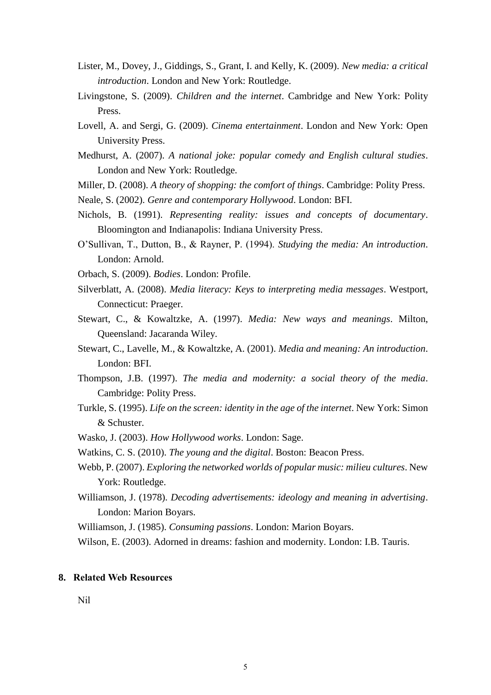- Lister, M., Dovey, J., Giddings, S., Grant, I. and Kelly, K. (2009). *New media: a critical introduction*. London and New York: Routledge.
- Livingstone, S. (2009). *Children and the internet*. Cambridge and New York: Polity Press.
- Lovell, A. and Sergi, G. (2009). *Cinema entertainment*. London and New York: Open University Press.
- Medhurst, A. (2007). *A national joke: popular comedy and English cultural studies*. London and New York: Routledge.
- Miller, D. (2008). *A theory of shopping: the comfort of things*. Cambridge: Polity Press.
- Neale, S. (2002). *Genre and contemporary Hollywood*. London: BFI.
- Nichols, B. (1991). *Representing reality: issues and concepts of documentary*. Bloomington and Indianapolis: Indiana University Press.
- O'Sullivan, T., Dutton, B., & Rayner, P. (1994). *Studying the media: An introduction*. London: Arnold.
- Orbach, S. (2009). *Bodies*. London: Profile.
- Silverblatt, A. (2008). *Media literacy: Keys to interpreting media messages*. Westport, Connecticut: Praeger.
- Stewart, C., & Kowaltzke, A. (1997). *Media: New ways and meanings*. Milton, Queensland: Jacaranda Wiley.
- Stewart, C., Lavelle, M., & Kowaltzke, A. (2001). *Media and meaning: An introduction*. London: BFI.
- Thompson, J.B. (1997). *The media and modernity: a social theory of the media*. Cambridge: Polity Press.
- Turkle, S. (1995). *Life on the screen: identity in the age of the internet*. New York: Simon & Schuster.
- Wasko, J. (2003). *How Hollywood works*. London: Sage.
- Watkins, C. S. (2010). *The young and the digital*. Boston: Beacon Press.
- Webb, P. (2007). *Exploring the networked worlds of popular music: milieu cultures*. New York: Routledge.
- Williamson, J. (1978). *Decoding advertisements: ideology and meaning in advertising*. London: Marion Boyars.
- Williamson, J. (1985). *Consuming passions*. London: Marion Boyars.
- Wilson, E. (2003). Adorned in dreams: fashion and modernity. London: I.B. Tauris.

#### **8. Related Web Resources**

Nil